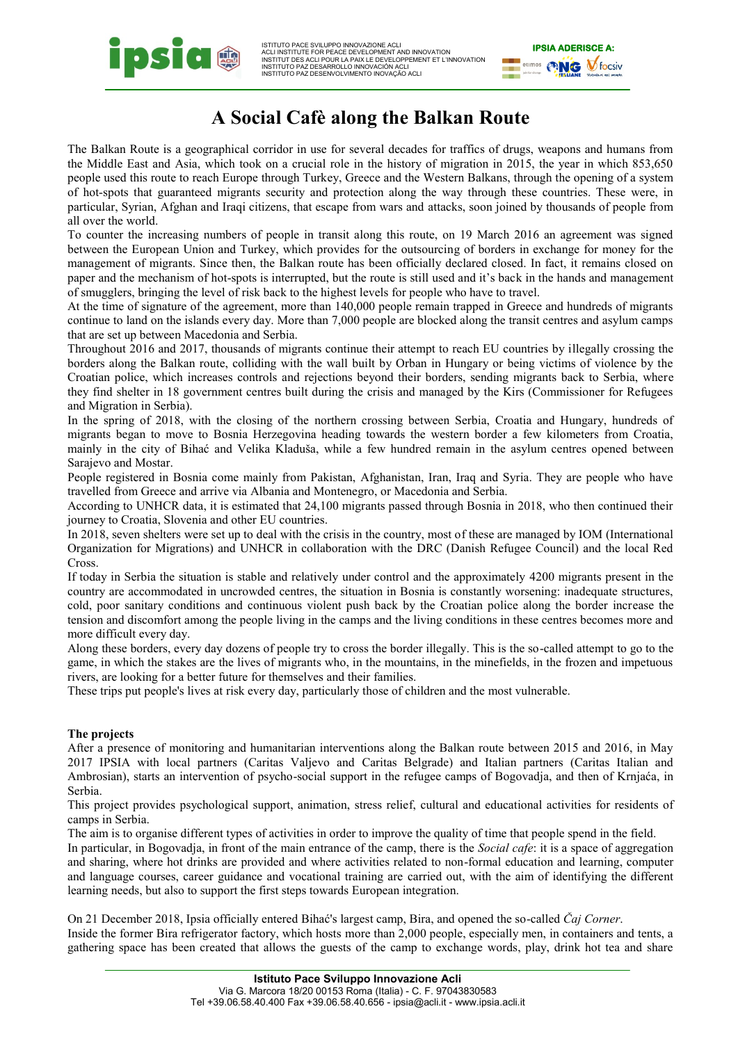

ISTITUTO PACE SVILUPPO INNOVAZIONE ACLI<br>ACLI INSTITUTE FOR PEACE DEVELOPMENT AND INNOVATION<br>INSTITUT DES ACLI POUR LA PAIX LE DEVELOPPEMENT ET L'INNOVATION<br>INSTITUTO PAZ DESARROLLO INNOVACIÓN ACLI INSTITUTO PAZ DESENVOLVIMENTO INOVAÇÃO ACLI



## **A Social Cafè along the Balkan Route**

The Balkan Route is a geographical corridor in use for several decades for traffics of drugs, weapons and humans from the Middle East and Asia, which took on a crucial role in the history of migration in 2015, the year in which 853,650 people used this route to reach Europe through Turkey, Greece and the Western Balkans, through the opening of a system of hot-spots that guaranteed migrants security and protection along the way through these countries. These were, in particular, Syrian, Afghan and Iraqi citizens, that escape from wars and attacks, soon joined by thousands of people from all over the world.

To counter the increasing numbers of people in transit along this route, on 19 March 2016 an agreement was signed between the European Union and Turkey, which provides for the outsourcing of borders in exchange for money for the management of migrants. Since then, the Balkan route has been officially declared closed. In fact, it remains closed on paper and the mechanism of hot-spots is interrupted, but the route is still used and it's back in the hands and management of smugglers, bringing the level of risk back to the highest levels for people who have to travel.

At the time of signature of the agreement, more than 140,000 people remain trapped in Greece and hundreds of migrants continue to land on the islands every day. More than 7,000 people are blocked along the transit centres and asylum camps that are set up between Macedonia and Serbia.

Throughout 2016 and 2017, thousands of migrants continue their attempt to reach EU countries by illegally crossing the borders along the Balkan route, colliding with the wall built by Orban in Hungary or being victims of violence by the Croatian police, which increases controls and rejections beyond their borders, sending migrants back to Serbia, where they find shelter in 18 government centres built during the crisis and managed by the Kirs (Commissioner for Refugees and Migration in Serbia).

In the spring of 2018, with the closing of the northern crossing between Serbia, Croatia and Hungary, hundreds of migrants began to move to Bosnia Herzegovina heading towards the western border a few kilometers from Croatia, mainly in the city of Bihać and Velika Kladuša, while a few hundred remain in the asylum centres opened between Sarajevo and Mostar.

People registered in Bosnia come mainly from Pakistan, Afghanistan, Iran, Iraq and Syria. They are people who have travelled from Greece and arrive via Albania and Montenegro, or Macedonia and Serbia.

According to UNHCR data, it is estimated that 24,100 migrants passed through Bosnia in 2018, who then continued their journey to Croatia, Slovenia and other EU countries.

In 2018, seven shelters were set up to deal with the crisis in the country, most of these are managed by IOM (International Organization for Migrations) and UNHCR in collaboration with the DRC (Danish Refugee Council) and the local Red Cross.

If today in Serbia the situation is stable and relatively under control and the approximately 4200 migrants present in the country are accommodated in uncrowded centres, the situation in Bosnia is constantly worsening: inadequate structures, cold, poor sanitary conditions and continuous violent push back by the Croatian police along the border increase the tension and discomfort among the people living in the camps and the living conditions in these centres becomes more and more difficult every day.

Along these borders, every day dozens of people try to cross the border illegally. This is the so-called attempt to go to the game, in which the stakes are the lives of migrants who, in the mountains, in the minefields, in the frozen and impetuous rivers, are looking for a better future for themselves and their families.

These trips put people's lives at risk every day, particularly those of children and the most vulnerable.

## **The projects**

After a presence of monitoring and humanitarian interventions along the Balkan route between 2015 and 2016, in May 2017 IPSIA with local partners (Caritas Valjevo and Caritas Belgrade) and Italian partners (Caritas Italian and Ambrosian), starts an intervention of psycho-social support in the refugee camps of Bogovadja, and then of Krnjaća, in Serbia.

This project provides psychological support, animation, stress relief, cultural and educational activities for residents of camps in Serbia.

The aim is to organise different types of activities in order to improve the quality of time that people spend in the field.

In particular, in Bogovadja, in front of the main entrance of the camp, there is the *Social cafe*: it is a space of aggregation and sharing, where hot drinks are provided and where activities related to non-formal education and learning, computer and language courses, career guidance and vocational training are carried out, with the aim of identifying the different learning needs, but also to support the first steps towards European integration.

On 21 December 2018, Ipsia officially entered Bihać's largest camp, Bira, and opened the so-called *Čaj Corner*. Inside the former Bira refrigerator factory, which hosts more than 2,000 people, especially men, in containers and tents, a gathering space has been created that allows the guests of the camp to exchange words, play, drink hot tea and share